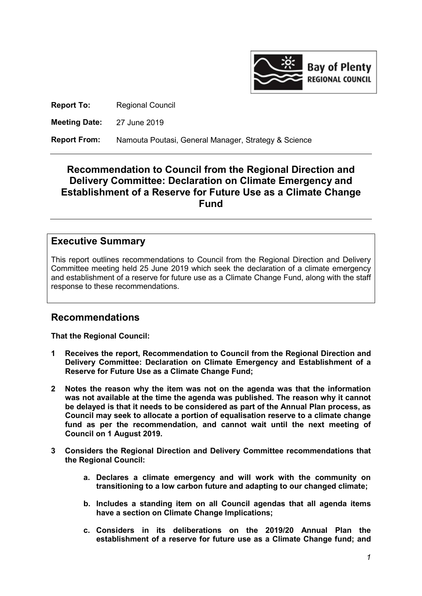

Report To: Regional Council

Meeting Date: 27 June 2019

Report From: Namouta Poutasi, General Manager, Strategy & Science

# Recommendation to Council from the Regional Direction and Delivery Committee: Declaration on Climate Emergency and Establishment of a Reserve for Future Use as a Climate Change Fund

# Executive Summary

This report outlines recommendations to Council from the Regional Direction and Delivery Committee meeting held 25 June 2019 which seek the declaration of a climate emergency and establishment of a reserve for future use as a Climate Change Fund, along with the staff response to these recommendations.

# Recommendations

That the Regional Council:

- 1 Receives the report, Recommendation to Council from the Regional Direction and Delivery Committee: Declaration on Climate Emergency and Establishment of a Reserve for Future Use as a Climate Change Fund;
- 2 Notes the reason why the item was not on the agenda was that the information was not available at the time the agenda was published. The reason why it cannot be delayed is that it needs to be considered as part of the Annual Plan process, as Council may seek to allocate a portion of equalisation reserve to a climate change fund as per the recommendation, and cannot wait until the next meeting of Council on 1 August 2019.
- 3 Considers the Regional Direction and Delivery Committee recommendations that the Regional Council:
	- a. Declares a climate emergency and will work with the community on transitioning to a low carbon future and adapting to our changed climate;
	- b. Includes a standing item on all Council agendas that all agenda items have a section on Climate Change Implications;
	- c. Considers in its deliberations on the 2019/20 Annual Plan the establishment of a reserve for future use as a Climate Change fund; and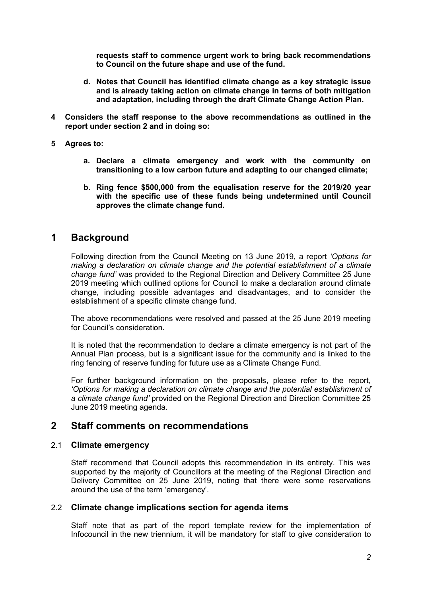requests staff to commence urgent work to bring back recommendations to Council on the future shape and use of the fund.

- d. Notes that Council has identified climate change as a key strategic issue and is already taking action on climate change in terms of both mitigation and adaptation, including through the draft Climate Change Action Plan.
- 4 Considers the staff response to the above recommendations as outlined in the report under section 2 and in doing so:
- 5 Agrees to:
	- a. Declare a climate emergency and work with the community on transitioning to a low carbon future and adapting to our changed climate;
	- b. Ring fence \$500,000 from the equalisation reserve for the 2019/20 year with the specific use of these funds being undetermined until Council approves the climate change fund.

## 1 Background

Following direction from the Council Meeting on 13 June 2019, a report 'Options for making a declaration on climate change and the potential establishment of a climate change fund' was provided to the Regional Direction and Delivery Committee 25 June 2019 meeting which outlined options for Council to make a declaration around climate change, including possible advantages and disadvantages, and to consider the establishment of a specific climate change fund.

The above recommendations were resolved and passed at the 25 June 2019 meeting for Council's consideration.

It is noted that the recommendation to declare a climate emergency is not part of the Annual Plan process, but is a significant issue for the community and is linked to the ring fencing of reserve funding for future use as a Climate Change Fund.

For further background information on the proposals, please refer to the report, 'Options for making a declaration on climate change and the potential establishment of a climate change fund' provided on the Regional Direction and Direction Committee 25 June 2019 meeting agenda.

## 2 Staff comments on recommendations

### 2.1 Climate emergency

Staff recommend that Council adopts this recommendation in its entirety. This was supported by the majority of Councillors at the meeting of the Regional Direction and Delivery Committee on 25 June 2019, noting that there were some reservations around the use of the term 'emergency'.

### 2.2 Climate change implications section for agenda items

Staff note that as part of the report template review for the implementation of Infocouncil in the new triennium, it will be mandatory for staff to give consideration to